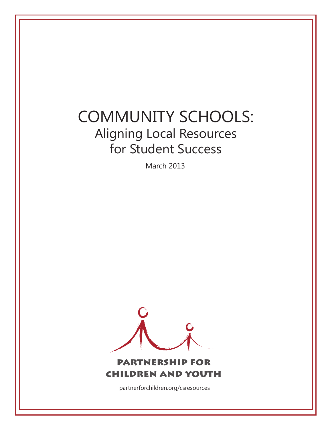# COMMUNITY SCHOOLS: Aligning Local Resources for Student Success

March 2013



partnerforchildren.org/csresources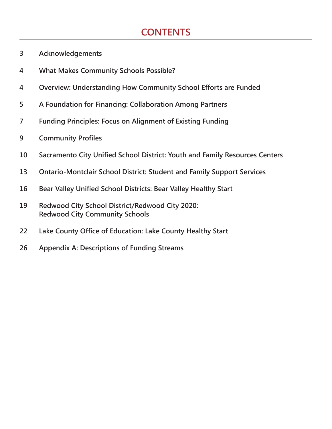# **CONTENTS**

- **3 Acknowledgements**
- **4 What Makes Community Schools Possible?**
- **4 Overview: Understanding How Community School Efforts are Funded**
- **5 A Foundation for Financing: Collaboration Among Partners**
- **7 Funding Principles: Focus on Alignment of Existing Funding**
- **9 Community Profiles**
- **10 Sacramento City Unified School District: Youth and Family Resources Centers**
- **13 Ontario-Montclair School District: Student and Family Support Services**
- **16 Bear Valley Unified School Districts: Bear Valley Healthy Start**
- **19 Redwood City School District/Redwood City 2020: Redwood City Community Schools**
- **22 Lake County Office of Education: Lake County Healthy Start**
- **26 Appendix A: Descriptions of Funding Streams**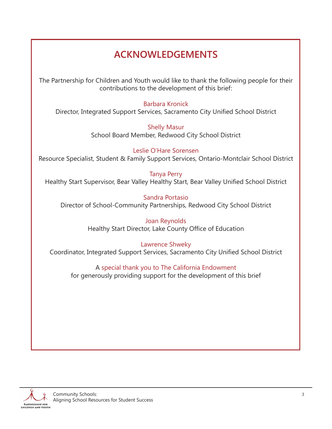# **ACKNOWLEDGEMENTS**

The Partnership for Children and Youth would like to thank the following people for their contributions to the development of this brief:

#### Barbara Kronick

Director, Integrated Support Services, Sacramento City Unified School District

Shelly Masur School Board Member, Redwood City School District

Leslie O'Hare Sorensen Resource Specialist, Student & Family Support Services, Ontario-Montclair School District

Tanya Perry Healthy Start Supervisor, Bear Valley Healthy Start, Bear Valley Unified School District

Sandra Portasio Director of School-Community Partnerships, Redwood City School District

> Joan Reynolds Healthy Start Director, Lake County Office of Education

Lawrence Shweky Coordinator, Integrated Support Services, Sacramento City Unified School District

### A special thank you to The California Endowment

for generously providing support for the development of this brief

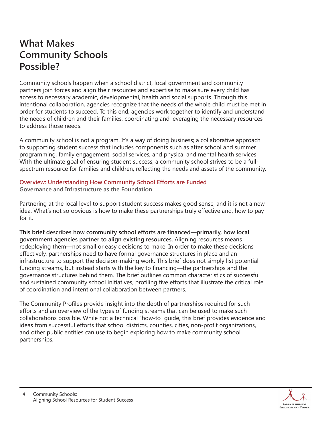# **What Makes Community Schools Possible?**

Community schools happen when a school district, local government and community partners join forces and align their resources and expertise to make sure every child has access to necessary academic, developmental, health and social supports. Through this intentional collaboration, agencies recognize that the needs of the whole child must be met in order for students to succeed. To this end, agencies work together to identify and understand the needs of children and their families, coordinating and leveraging the necessary resources to address those needs.

A community school is not a program. It's a way of doing business; a collaborative approach to supporting student success that includes components such as after school and summer programming, family engagement, social services, and physical and mental health services. With the ultimate goal of ensuring student success, a community school strives to be a fullspectrum resource for families and children, reflecting the needs and assets of the community.

#### **Overview: Understanding How Community School Efforts are Funded**

**Governance and Infrastructure as the Foundation**

Partnering at the local level to support student success makes good sense, and it is not a new idea. What's not so obvious is how to make these partnerships truly effective and, how to pay for it.

**This brief describes how community school efforts are financed—primarily, how local government agencies partner to align existing resources.** Aligning resources means redeploying them—not small or easy decisions to make. In order to make these decisions effectively, partnerships need to have formal governance structures in place and an infrastructure to support the decision-making work. This brief does not simply list potential funding streams, but instead starts with the key to financing—the partnerships and the governance structures behind them. The brief outlines common characteristics of successful and sustained community school initiatives, profiling five efforts that illustrate the critical role of coordination and intentional collaboration between partners.

The Community Profiles provide insight into the depth of partnerships required for such efforts and an overview of the types of funding streams that can be used to make such collaborations possible. While not a technical "how-to" guide, this brief provides evidence and ideas from successful efforts that school districts, counties, cities, non-profit organizations, and other public entities can use to begin exploring how to make community school partnerships.

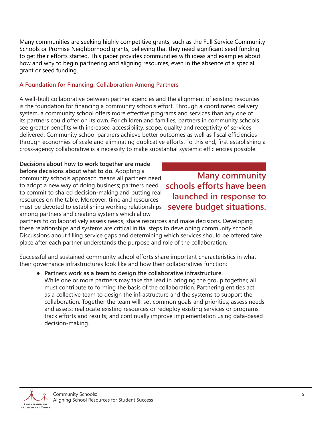Many communities are seeking highly competitive grants, such as the Full Service Community Schools or Promise Neighborhood grants, believing that they need significant seed funding to get their efforts started. This paper provides communities with ideas and examples about how and why to begin partnering and aligning resources, even in the absence of a special grant or seed funding.

#### **A Foundation for Financing: Collaboration Among Partners**

A well-built collaborative between partner agencies and the alignment of existing resources is the foundation for financing a community schools effort. Through a coordinated delivery system, a community school offers more effective programs and services than any one of its partners could offer on its own. For children and families, partners in community schools see greater benefits with increased accessibility, scope, quality and receptivity of services delivered. Community school partners achieve better outcomes as well as fiscal efficiencies through economies of scale and eliminating duplicative efforts. To this end, first establishing a cross-agency collaborative is a necessity to make substantial systemic efficiencies possible.

**Decisions about how to work together are made before decisions about what to do.** Adopting a community schools approach means all partners need to adopt a new way of doing business; partners need to commit to shared decision-making and putting real resources on the table. Moreover, time and resources must be devoted to establishing working relationships among partners and creating systems which allow

### **Many community schools efforts have been launched in response to severe budget situations.**

partners to collaboratively assess needs, share resources and make decisions. Developing these relationships and systems are critical initial steps to developing community schools. Discussions about filling service gaps and determining which services should be offered take place after each partner understands the purpose and role of the collaboration.

Successful and sustained community school efforts share important characteristics in what their governance infrastructures look like and how their collaboratives function:

**Partners work as a team to design the collaborative infrastructure.** ● While one or more partners may take the lead in bringing the group together, all must contribute to forming the basis of the collaboration. Partnering entities act as a collective team to design the infrastructure and the systems to support the collaboration. Together the team will: set common goals and priorities; assess needs and assets; reallocate existing resources or redeploy existing services or programs; track efforts and results; and continually improve implementation using data-based decision-making.

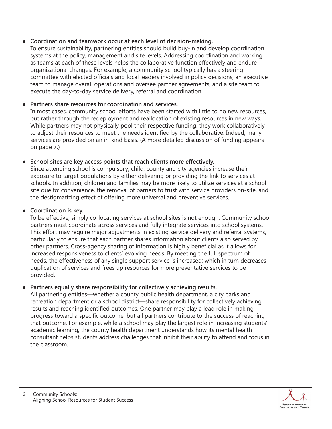#### **Coordination and teamwork occur at each level of decision-making.** ●

To ensure sustainability, partnering entities should build buy-in and develop coordination systems at the policy, management and site levels. Addressing coordination and working as teams at each of these levels helps the collaborative function effectively and endure organizational changes. For example, a community school typically has a steering committee with elected officials and local leaders involved in policy decisions, an executive team to manage overall operations and oversee partner agreements, and a site team to execute the day-to-day service delivery, referral and coordination.

#### **Partners share resources for coordination and services.** ●

In most cases, community school efforts have been started with little to no new resources, but rather through the redeployment and reallocation of existing resources in new ways. While partners may not physically pool their respective funding, they work collaboratively to adjust their resources to meet the needs identified by the collaborative. Indeed, many services are provided on an in-kind basis. (A more detailed discussion of funding appears on page 7.)

#### **School sites are key access points that reach clients more effectively.** ●

Since attending school is compulsory; child, county and city agencies increase their exposure to target populations by either delivering or providing the link to services at schools. In addition, children and families may be more likely to utilize services at a school site due to: convenience, the removal of barriers to trust with service providers on-site, and the destigmatizing effect of offering more universal and preventive services.

#### **Coordination is key.** ●

To be effective, simply co-locating services at school sites is not enough. Community school partners must coordinate across services and fully integrate services into school systems. This effort may require major adjustments in existing service delivery and referral systems, particularly to ensure that each partner shares information about clients also served by other partners. Cross-agency sharing of information is highly beneficial as it allows for increased responsiveness to clients' evolving needs. By meeting the full spectrum of needs, the effectiveness of any single support service is increased; which in turn decreases duplication of services and frees up resources for more preventative services to be provided.

#### **Partners equally share responsibility for collectively achieving results.** ●

All partnering entities—whether a county public health department, a city parks and recreation department or a school district—share responsibility for collectively achieving results and reaching identified outcomes. One partner may play a lead role in making progress toward a specific outcome, but all partners contribute to the success of reaching that outcome. For example, while a school may play the largest role in increasing students' academic learning, the county health department understands how its mental health consultant helps students address challenges that inhibit their ability to attend and focus in the classroom.

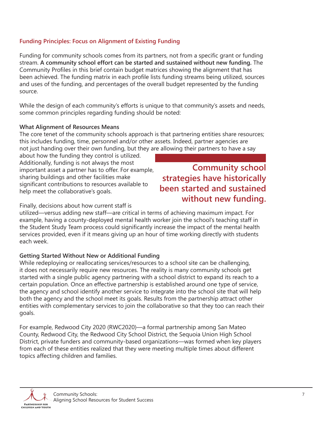#### **Funding Principles: Focus on Alignment of Existing Funding**

Funding for community schools comes from its partners, not from a specific grant or funding stream. **A community school effort can be started and sustained without new funding.** The Community Profiles in this brief contain budget matrices showing the alignment that has been achieved. The funding matrix in each profile lists funding streams being utilized, sources and uses of the funding, and percentages of the overall budget represented by the funding source.

While the design of each community's efforts is unique to that community's assets and needs, some common principles regarding funding should be noted:

#### **What Alignment of Resources Means**

The core tenet of the community schools approach is that partnering entities share resources; this includes funding, time, personnel and/or other assets. Indeed, partner agencies are not just handing over their own funding, but they are allowing their partners to have a say

about how the funding they control is utilized. Additionally, funding is not always the most important asset a partner has to offer. For example, sharing buildings and other facilities make significant contributions to resources available to help meet the collaborative's goals.

### **Community school strategies have historically been started and sustained without new funding.**

#### Finally, decisions about how current staff is

utilized—versus adding new staff—are critical in terms of achieving maximum impact. For example, having a county-deployed mental health worker join the school's teaching staff in the Student Study Team process could significantly increase the impact of the mental health services provided, even if it means giving up an hour of time working directly with students each week.

#### **Getting Started Without New or Additional Funding**

While redeploying or reallocating services/resources to a school site can be challenging, it does not necessarily require new resources. The reality is many community schools get started with a single public agency partnering with a school district to expand its reach to a certain population. Once an effective partnership is established around one type of service, the agency and school identify another service to integrate into the school site that will help both the agency and the school meet its goals. Results from the partnership attract other entities with complementary services to join the collaborative so that they too can reach their goals.

For example, Redwood City 2020 (RWC2020)—a formal partnership among San Mateo County, Redwood City, the Redwood City School District, the Sequoia Union High School District, private funders and community-based organizations—was formed when key players from each of these entities realized that they were meeting multiple times about different topics affecting children and families.

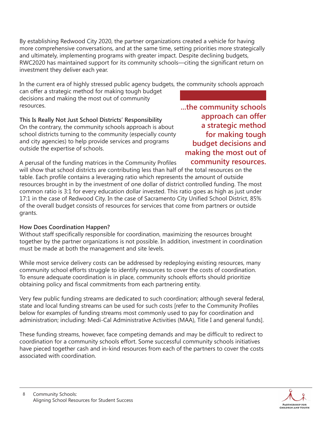By establishing Redwood City 2020, the partner organizations created a vehicle for having more comprehensive conversations, and at the same time, setting priorities more strategically and ultimately, implementing programs with greater impact. Despite declining budgets, RWC2020 has maintained support for its community schools—citing the significant return on investment they deliver each year.

In the current era of highly stressed public agency budgets, the community schools approach

can offer a strategic method for making tough budget decisions and making the most out of community resources.

**This Is Really Not Just School Districts' Responsibility**

On the contrary, the community schools approach is about school districts turning to the community (especially county and city agencies) to help provide services and programs outside the expertise of schools.

**...the community schools approach can offer a strategic method for making tough budget decisions and making the most out of community resources.**

A perusal of the funding matrices in the Community Profiles will show that school districts are contributing less than half of the total resources on the table. Each profile contains a leveraging ratio which represents the amount of outside resources brought in by the investment of one dollar of district controlled funding. The most common ratio is 3:1 for every education dollar invested. This ratio goes as high as just under 17:1 in the case of Redwood City. In the case of Sacramento City Unified School District, 85% of the overall budget consists of resources for services that come from partners or outside grants.

#### **How Does Coordination Happen?**

Without staff specifically responsible for coordination, maximizing the resources brought together by the partner organizations is not possible. In addition, investment in coordination must be made at both the management and site levels.

While most service delivery costs can be addressed by redeploying existing resources, many community school efforts struggle to identify resources to cover the costs of coordination. To ensure adequate coordination is in place, community schools efforts should prioritize obtaining policy and fiscal commitments from each partnering entity.

Very few public funding streams are dedicated to such coordination; although several federal, state and local funding streams can be used for such costs [refer to the Community Profiles below for examples of funding streams most commonly used to pay for coordination and administration; including: Medi-Cal Administrative Activities (MAA), Title I and general funds].

These funding streams, however, face competing demands and may be difficult to redirect to coordination for a community schools effort. Some successful community schools initiatives have pieced together cash and in-kind resources from each of the partners to cover the costs associated with coordination.

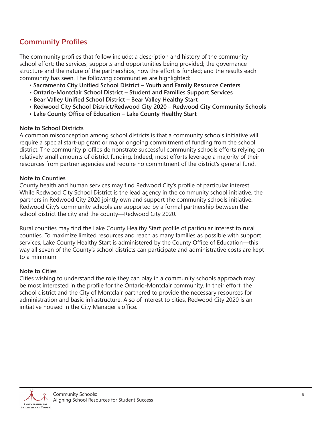### **Community Profiles**

The community profiles that follow include: a description and history of the community school effort; the services, supports and opportunities being provided; the governance structure and the nature of the partnerships; how the effort is funded; and the results each community has seen. The following communities are highlighted:

- **Sacramento City Unified School District – Youth and Family Resource Centers**
- **• Ontario-Montclair School District – Student and Families Support Services**
- **• Bear Valley Unified School District – Bear Valley Healthy Start**
- **• Redwood City School District/Redwood City 2020 – Redwood City Community Schools**
- **• Lake County Office of Education – Lake County Healthy Start**

#### **Note to School Districts**

A common misconception among school districts is that a community schools initiative will require a special start-up grant or major ongoing commitment of funding from the school district. The community profiles demonstrate successful community schools efforts relying on relatively small amounts of district funding. Indeed, most efforts leverage a majority of their resources from partner agencies and require no commitment of the district's general fund.

#### **Note to Counties**

County health and human services may find Redwood City's profile of particular interest. While Redwood City School District is the lead agency in the community school initiative, the partners in Redwood City 2020 jointly own and support the community schools initiative. Redwood City's community schools are supported by a formal partnership between the school district the city and the county—Redwood City 2020.

Rural counties may find the Lake County Healthy Start profile of particular interest to rural counties. To maximize limited resources and reach as many families as possible with support services, Lake County Healthy Start is administered by the County Office of Education—this way all seven of the County's school districts can participate and administrative costs are kept to a minimum.

#### **Note to Cities**

Cities wishing to understand the role they can play in a community schools approach may be most interested in the profile for the Ontario-Montclair community. In their effort, the school district and the City of Montclair partnered to provide the necessary resources for administration and basic infrastructure. Also of interest to cities, Redwood City 2020 is an initiative housed in the City Manager's office.

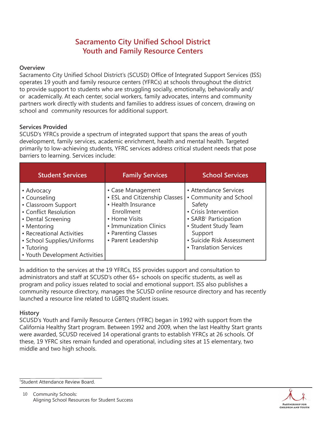### **Sacramento City Unified School District Youth and Family Resource Centers**

#### **Overview**

Sacramento City Unified School District's (SCUSD) Office of Integrated Support Services (ISS) operates 19 youth and family resource centers (YFRCs) at schools throughout the district to provide support to students who are struggling socially, emotionally, behaviorally and/ or academically. At each center, social workers, family advocates, interns and community partners work directly with students and families to address issues of concern, drawing on school and community resources for additional support.

#### **Services Provided**

SCUSD's YFRCs provide a spectrum of integrated support that spans the areas of youth development, family services, academic enrichment, health and mental health. Targeted primarily to low-achieving students, YFRC services address critical student needs that pose barriers to learning. Services include:

| <b>Student Services</b>                                                                                                                                                                                                    | <b>Family Services</b>                                                                                                                                                          | <b>School Services</b>                                                                                                                                                                                            |
|----------------------------------------------------------------------------------------------------------------------------------------------------------------------------------------------------------------------------|---------------------------------------------------------------------------------------------------------------------------------------------------------------------------------|-------------------------------------------------------------------------------------------------------------------------------------------------------------------------------------------------------------------|
| • Advocacy<br>• Counseling<br>• Classroom Support<br>• Conflict Resolution<br>• Dental Screening<br>• Mentoring<br>• Recreational Activities<br>• School Supplies/Uniforms<br>• Tutoring<br>• Youth Development Activities | • Case Management<br>• ESL and Citizenship Classes<br>• Health Insurance<br>Enrollment<br>• Home Visits<br>• Immunization Clinics<br>• Parenting Classes<br>• Parent Leadership | • Attendance Services<br>• Community and School<br>Safety<br>• Crisis Intervention<br>• SARB <sup>1</sup> Participation<br>• Student Study Team<br>Support<br>• Suicide Risk Assessment<br>• Translation Services |

In addition to the services at the 19 YFRCs, ISS provides support and consultation to administrators and staff at SCUSD's other 65+ schools on specific students, as well as program and policy issues related to social and emotional support. ISS also publishes a community resource directory, manages the SCUSD online resource directory and has recently launched a resource line related to LGBTQ student issues.

#### **History**

SCUSD's Youth and Family Resource Centers (YFRC) began in 1992 with support from the California Healthy Start program. Between 1992 and 2009, when the last Healthy Start grants were awarded, SCUSD received 14 operational grants to establish YFRCs at 26 schools. Of these, 19 YFRC sites remain funded and operational, including sites at 15 elementary, two middle and two high schools.

1 Student Attendance Review Board.



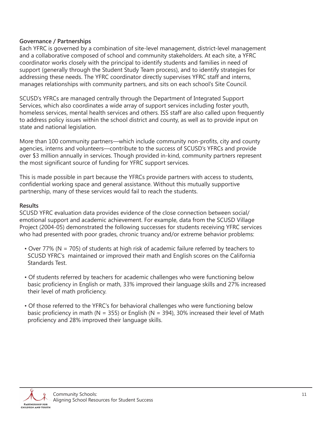#### **Governance / Partnerships**

Each YFRC is governed by a combination of site-level management, district-level management and a collaborative composed of school and community stakeholders. At each site, a YFRC coordinator works closely with the principal to identify students and families in need of support (generally through the Student Study Team process), and to identify strategies for addressing these needs. The YFRC coordinator directly supervises YFRC staff and interns, manages relationships with community partners, and sits on each school's Site Council.

SCUSD's YFRCs are managed centrally through the Department of Integrated Support Services, which also coordinates a wide array of support services including foster youth, homeless services, mental health services and others. ISS staff are also called upon frequently to address policy issues within the school district and county, as well as to provide input on state and national legislation.

More than 100 community partners—which include community non-profits, city and county agencies, interns and volunteers—contribute to the success of SCUSD's YFRCs and provide over \$3 million annually in services. Though provided in-kind, community partners represent the most significant source of funding for YFRC support services.

This is made possible in part because the YFRCs provide partners with access to students, confidential working space and general assistance. Without this mutually supportive partnership, many of these services would fail to reach the students.

#### **Results**

SCUSD YFRC evaluation data provides evidence of the close connection between social/ emotional support and academic achievement. For example, data from the SCUSD Village Project (2004-05) demonstrated the following successes for students receiving YFRC services who had presented with poor grades, chronic truancy and/or extreme behavior problems:

- Over 77% (N = 705) of students at high risk of academic failure referred by teachers to SCUSD YFRC's maintained or improved their math and English scores on the California Standards Test.
- Of students referred by teachers for academic challenges who were functioning below basic proficiency in English or math, 33% improved their language skills and 27% increased their level of math proficiency.
- Of those referred to the YFRC's for behavioral challenges who were functioning below basic proficiency in math (N = 355) or English (N = 394), 30% increased their level of Math proficiency and 28% improved their language skills.

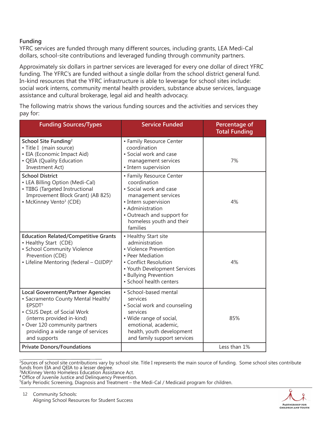#### **Funding**

YFRC services are funded through many different sources, including grants, LEA Medi-Cal dollars, school-site contributions and leveraged funding through community partners.

Approximately six dollars in partner services are leveraged for every one dollar of direct YFRC funding. The YFRC's are funded without a single dollar from the school district general fund. In-kind resources that the YFRC infrastructure is able to leverage for school sites include: social work interns, community mental health providers, substance abuse services, language assistance and cultural brokerage, legal aid and health advocacy.

The following matrix shows the various funding sources and the activities and services they pay for:

| <b>Funding Sources/Types</b>                                                                                                                                                                                                                             | <b>Service Funded</b>                                                                                                                                                                                       | Percentage of<br><b>Total Funding</b> |
|----------------------------------------------------------------------------------------------------------------------------------------------------------------------------------------------------------------------------------------------------------|-------------------------------------------------------------------------------------------------------------------------------------------------------------------------------------------------------------|---------------------------------------|
| School Site Funding <sup>2</sup><br>• Title I (main source)<br>· EIA (Economic Impact Aid)<br>• QEIA (Quality Education<br><b>Investment Act)</b>                                                                                                        | • Family Resource Center<br>coordination<br>• Social work and case<br>management services<br>• Intern supervision                                                                                           | 7%                                    |
| <b>School District</b><br>• LEA Billing Option (Medi-Cal)<br>• TIIBG (Targeted Instructional<br>Improvement Block Grant) (AB 825)<br>• McKinney Vento <sup>3</sup> (CDE)                                                                                 | • Family Resource Center<br>coordination<br>• Social work and case<br>management services<br>• Intern supervision<br>• Administration<br>• Outreach and support for<br>homeless youth and their<br>families | 4%                                    |
| <b>Education Related/Competitive Grants</b><br>• Healthy Start (CDE)<br>• School Community Violence<br>Prevention (CDE)<br>• Lifeline Mentoring (federal - OJJDP) <sup>4</sup>                                                                           | • Healthy Start site<br>administration<br>• Violence Prevention<br>• Peer Mediation<br>• Conflict Resolution<br>• Youth Development Services<br>• Bullying Prevention<br>· School health centers            | 4%                                    |
| <b>Local Government/Partner Agencies</b><br>• Sacramento County Mental Health/<br>EPSDT <sup>5</sup><br>• CSUS Dept. of Social Work<br>(interns provided in-kind)<br>• Over 120 community partners<br>providing a wide range of services<br>and supports | · School-based mental<br>services<br>• Social work and counseling<br>services<br>• Wide range of social,<br>emotional, academic,<br>health, youth development<br>and family support services                | 85%                                   |
| <b>Private Donors/Foundations</b>                                                                                                                                                                                                                        |                                                                                                                                                                                                             | Less than 1%                          |

<sup>2</sup> Sources of school site contributions vary by school site. Title I represents the main source of funding. Some school sites contribute funds from EIA and QEIA to a lesser degree. 3 McKinney Vento Homeless Education Assistance Act.



**<sup>4</sup>** Office of Juvenile Justice and Delinquency Prevention.

<sup>5</sup> Early Periodic Screening, Diagnosis and Treatment – the Medi-Cal / Medicaid program for children.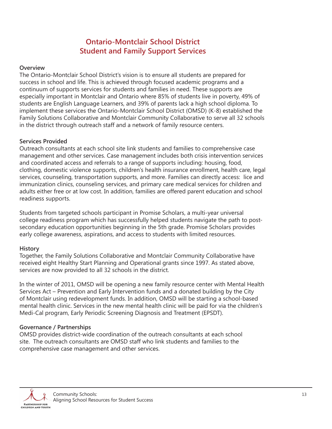### **Ontario-Montclair School District Student and Family Support Services**

#### **Overview**

The Ontario-Montclair School District's vision is to ensure all students are prepared for success in school and life. This is achieved through focused academic programs and a continuum of supports services for students and families in need. These supports are especially important in Montclair and Ontario where 85% of students live in poverty, 49% of students are English Language Learners, and 39% of parents lack a high school diploma. To implement these services the Ontario-Montclair School District (OMSD) (K-8) established the Family Solutions Collaborative and Montclair Community Collaborative to serve all 32 schools in the district through outreach staff and a network of family resource centers.

#### **Services Provided**

Outreach consultants at each school site link students and families to comprehensive case management and other services. Case management includes both crisis intervention services and coordinated access and referrals to a range of supports including: housing, food, clothing, domestic violence supports, children's health insurance enrollment, health care, legal services, counseling, transportation supports, and more. Families can directly access: lice and immunization clinics, counseling services, and primary care medical services for children and adults either free or at low cost. In addition, families are offered parent education and school readiness supports.

Students from targeted schools participant in Promise Scholars, a multi-year universal college readiness program which has successfully helped students navigate the path to postsecondary education opportunities beginning in the 5th grade. Promise Scholars provides early college awareness, aspirations, and access to students with limited resources.

#### **History**

Together, the Family Solutions Collaborative and Montclair Community Collaborative have received eight Healthy Start Planning and Operational grants since 1997. As stated above, services are now provided to all 32 schools in the district.

In the winter of 2011, OMSD will be opening a new family resource center with Mental Health Services Act – Prevention and Early Intervention funds and a donated building by the City of Montclair using redevelopment funds. In addition, OMSD will be starting a school-based mental health clinic. Services in the new mental health clinic will be paid for via the children's Medi-Cal program, Early Periodic Screening Diagnosis and Treatment (EPSDT).

#### **Governance / Partnerships**

OMSD provides district-wide coordination of the outreach consultants at each school site. The outreach consultants are OMSD staff who link students and families to the comprehensive case management and other services.

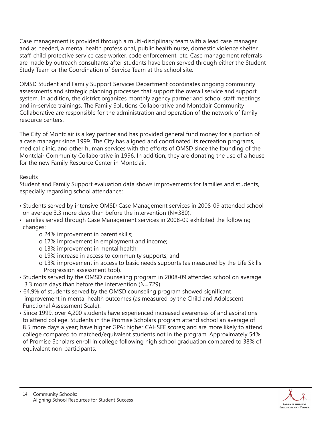Case management is provided through a multi-disciplinary team with a lead case manager and as needed, a mental health professional, public health nurse, domestic violence shelter staff, child protective service case worker, code enforcement, etc. Case management referrals are made by outreach consultants after students have been served through either the Student Study Team or the Coordination of Service Team at the school site.

OMSD Student and Family Support Services Department coordinates ongoing community assessments and strategic planning processes that support the overall service and support system. In addition, the district organizes monthly agency partner and school staff meetings and in-service trainings. The Family Solutions Collaborative and Montclair Community Collaborative are responsible for the administration and operation of the network of family resource centers.

The City of Montclair is a key partner and has provided general fund money for a portion of a case manager since 1999. The City has aligned and coordinated its recreation programs, medical clinic, and other human services with the efforts of OMSD since the founding of the Montclair Community Collaborative in 1996. In addition, they are donating the use of a house for the new Family Resource Center in Montclair.

#### Results

Student and Family Support evaluation data shows improvements for families and students, especially regarding school attendance:

- Students served by intensive OMSD Case Management services in 2008-09 attended school on average 3.3 more days than before the intervention (N=380).
- Families served through Case Management services in 2008-09 exhibited the following changes:
	- o 24% improvement in parent skills;
	- o 17% improvement in employment and income;
	- o 13% improvement in mental health;
	- o 19% increase in access to community supports; and
	- o 13% improvement in access to basic needs supports (as measured by the Life Skills Progression assessment tool).
- Students served by the OMSD counseling program in 2008-09 attended school on average 3.3 more days than before the intervention (N=729).
- 64.9% of students served by the OMSD counseling program showed significant improvement in mental health outcomes (as measured by the Child and Adolescent Functional Assessment Scale).
- Since 1999, over 4,200 students have experienced increased awareness of and aspirations to attend college. Students in the Promise Scholars program attend school an average of 8.5 more days a year; have higher GPA; higher CAHSEE scores; and are more likely to attend college compared to matched/equivalent students not in the program. Approximately 54% of Promise Scholars enroll in college following high school graduation compared to 38% of equivalent non-participants.

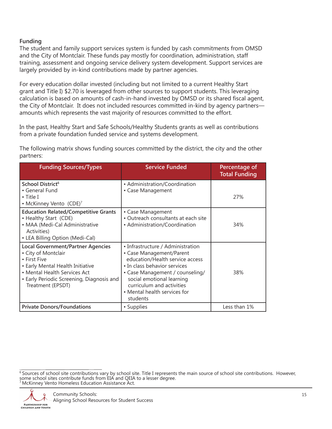#### **Funding**

The student and family support services system is funded by cash commitments from OMSD and the City of Montclair. These funds pay mostly for coordination, administration, staff training, assessment and ongoing service delivery system development. Support services are largely provided by in-kind contributions made by partner agencies.

For every education dollar invested (including but not limited to a current Healthy Start grant and Title I) \$2.70 is leveraged from other sources to support students. This leveraging calculation is based on amounts of cash-in-hand invested by OMSD or its shared fiscal agent, the City of Montclair. It does not included resources committed in-kind by agency partners amounts which represents the vast majority of resources committed to the effort.

In the past, Healthy Start and Safe Schools/Healthy Students grants as well as contributions from a private foundation funded service and systems development.

The following matrix shows funding sources committed by the district, the city and the other partners:

| <b>Funding Sources/Types</b>                                                                                                                                                                                          | <b>Service Funded</b>                                                                                                                                                                                                                                                     | Percentage of<br><b>Total Funding</b> |
|-----------------------------------------------------------------------------------------------------------------------------------------------------------------------------------------------------------------------|---------------------------------------------------------------------------------------------------------------------------------------------------------------------------------------------------------------------------------------------------------------------------|---------------------------------------|
| School District <sup>6</sup><br>• General Fund<br>• Title I<br>• McKinney Vento (CDE)7                                                                                                                                | • Administration/Coordination<br>• Case Management                                                                                                                                                                                                                        | 27%                                   |
| <b>Education Related/Competitive Grants</b><br>• Healthy Start (CDE)<br>• MAA (Medi-Cal Administrative<br>Activities)<br>• LEA Billing Option (Medi-Cal)                                                              | • Case Management<br>• Outreach consultants at each site<br>• Administration/Coordination                                                                                                                                                                                 | 34%                                   |
| <b>Local Government/Partner Agencies</b><br>• City of Montclair<br>• First Five<br>• Early Mental Health Initiative<br>• Mental Health Services Act<br>• Early Periodic Screening, Diagnosis and<br>Treatment (EPSDT) | • Infrastructure / Administration<br>• Case Management/Parent<br>education/Health service access<br>• In class behavior services<br>• Case Management / counseling/<br>social emotional learning<br>curriculum and activities<br>• Mental health services for<br>students | 38%                                   |
| <b>Private Donors/Foundations</b>                                                                                                                                                                                     | • Supplies                                                                                                                                                                                                                                                                | Less than 1%                          |

 $6$  Sources of school site contributions vary by school site. Title I represents the main source of school site contributions. However, some school sites contribute funds from EIA and QEIA to a lesser degree. <sup>7</sup> McKinney Vento Homeless Education Assistance Act.

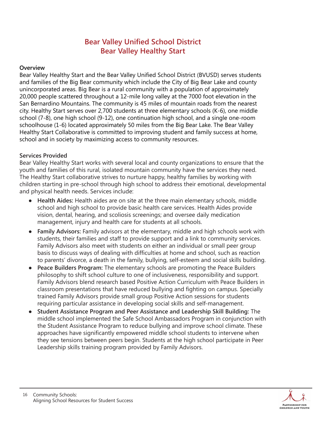### **Bear Valley Unified School District Bear Valley Healthy Start**

#### **Overview**

Bear Valley Healthy Start and the Bear Valley Unified School District (BVUSD) serves students and families of the Big Bear community which include the City of Big Bear Lake and county unincorporated areas. Big Bear is a rural community with a population of approximately 20,000 people scattered throughout a 12-mile long valley at the 7000 foot elevation in the San Bernardino Mountains. The community is 45 miles of mountain roads from the nearest city. Healthy Start serves over 2,700 students at three elementary schools (K-6), one middle school (7-8), one high school (9-12), one continuation high school, and a single one-room schoolhouse (1-6) located approximately 50 miles from the Big Bear Lake. The Bear Valley Healthy Start Collaborative is committed to improving student and family success at home, school and in society by maximizing access to community resources.

#### **Services Provided**

Bear Valley Healthy Start works with several local and county organizations to ensure that the youth and families of this rural, isolated mountain community have the services they need. The Healthy Start collaborative strives to nurture happy, healthy families by working with children starting in pre-school through high school to address their emotional, developmental and physical health needs. Services include:

- **Health Aides:** Health aides are on site at the three main elementary schools, middle school and high school to provide basic health care services. Health Aides provide vision, dental, hearing, and scoliosis screenings; and oversee daily medication management, injury and health care for students at all schools.
- **Family Advisors:** Family advisors at the elementary, middle and high schools work with students, their families and staff to provide support and a link to community services. Family Advisors also meet with students on either an individual or small peer group basis to discuss ways of dealing with difficulties at home and school, such as reaction to parents' divorce, a death in the family, bullying, self-esteem and social skills building.
- **Peace Builders Program:** The elementary schools are promoting the Peace Builders philosophy to shift school culture to one of inclusiveness, responsibility and support. Family Advisors blend research based Positive Action Curriculum with Peace Builders in classroom presentations that have reduced bullying and fighting on campus. Specially trained Family Advisors provide small group Positive Action sessions for students requiring particular assistance in developing social skills and self-management.
- **Student Assistance Program and Peer Assistance and Leadership Skill Building:** The middle school implemented the Safe School Ambassadors Program in conjunction with the Student Assistance Program to reduce bullying and improve school climate. These approaches have significantly empowered middle school students to intervene when they see tensions between peers begin. Students at the high school participate in Peer Leadership skills training program provided by Family Advisors.

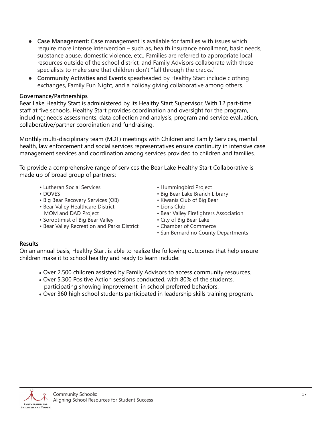- **Case Management:** Case management is available for families with issues which require more intense intervention – such as, health insurance enrollment, basic needs, substance abuse, domestic violence, etc.. Families are referred to appropriate local resources outside of the school district, and Family Advisors collaborate with these specialists to make sure that children don't "fall through the cracks." ●
- **Community Activities and Events** spearheaded by Healthy Start include clothing exchanges, Family Fun Night, and a holiday giving collaborative among others.

#### **Governance/Partnerships**

Bear Lake Healthy Start is administered by its Healthy Start Supervisor. With 12 part-time staff at five schools, Healthy Start provides coordination and oversight for the program, including: needs assessments, data collection and analysis, program and service evaluation, collaborative/partner coordination and fundraising.

Monthly multi-disciplinary team (MDT) meetings with Children and Family Services, mental health, law enforcement and social services representatives ensure continuity in intensive case management services and coordination among services provided to children and families.

To provide a comprehensive range of services the Bear Lake Healthy Start Collaborative is made up of broad group of partners:

- Lutheran Social Services
- DOVES
- Big Bear Recovery Services (OB)
- Bear Valley Healthcare District –
- MOM and DAD Project
- Soroptimist of Big Bear Valley
- Bear Valley Recreation and Parks District
- Hummingbird Project
- Big Bear Lake Branch Library
- Kiwanis Club of Big Bear
- Lions Club
- Bear Valley Firefighters Association
- City of Big Bear Lake
- Chamber of Commerce
- San Bernardino County Departments

#### **Results**

On an annual basis, Healthy Start is able to realize the following outcomes that help ensure children make it to school healthy and ready to learn include:

- Over 2,500 children assisted by Family Advisors to access community resources.
- Over 5,300 Positive Action sessions conducted, with 80% of the students. participating showing improvement in school preferred behaviors.
- Over 360 high school students participated in leadership skills training program.

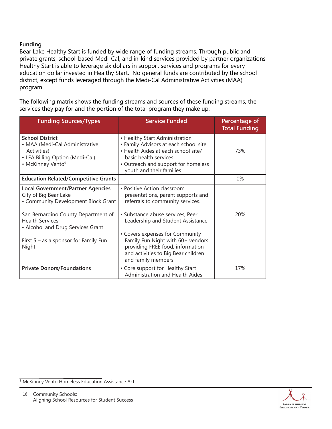#### **Funding**

Bear Lake Healthy Start is funded by wide range of funding streams. Through public and private grants, school-based Medi-Cal, and in-kind services provided by partner organizations Healthy Start is able to leverage six dollars in support services and programs for every education dollar invested in Healthy Start. No general funds are contributed by the school district, except funds leveraged through the Medi-Cal Administrative Activities (MAA) program.

The following matrix shows the funding streams and sources of these funding streams, the services they pay for and the portion of the total program they make up:

| <b>Funding Sources/Types</b>                                                                                                                | <b>Service Funded</b>                                                                                                                                                                                      | Percentage of<br><b>Total Funding</b> |
|---------------------------------------------------------------------------------------------------------------------------------------------|------------------------------------------------------------------------------------------------------------------------------------------------------------------------------------------------------------|---------------------------------------|
| <b>School District</b><br>• MAA (Medi-Cal Administrative<br>Activities)<br>• LEA Billing Option (Medi-Cal)<br>• McKinney Vento <sup>9</sup> | • Healthy Start Administration<br>• Family Advisors at each school site<br>• Health Aides at each school site/<br>basic health services<br>• Outreach and support for homeless<br>youth and their families | 73%                                   |
| <b>Education Related/Competitive Grants</b>                                                                                                 |                                                                                                                                                                                                            | $0\%$                                 |
| <b>Local Government/Partner Agencies</b><br>City of Big Bear Lake<br>• Community Development Block Grant                                    | • Positive Action classroom<br>presentations, parent supports and<br>referrals to community services.                                                                                                      |                                       |
| San Bernardino County Department of<br><b>Health Services</b><br>• Alcohol and Drug Services Grant                                          | • Substance abuse services, Peer<br>Leadership and Student Assistance<br>• Covers expenses for Community                                                                                                   | 20%                                   |
| First $5 - as a sponsor for Family Fun$<br>Night                                                                                            | Family Fun Night with 60+ vendors<br>providing FREE food, information<br>and activities to Big Bear children<br>and family members                                                                         |                                       |
| <b>Private Donors/Foundations</b>                                                                                                           | • Core support for Healthy Start<br><b>Administration and Health Aides</b>                                                                                                                                 | 17%                                   |

<sup>9</sup> McKinney Vento Homeless Education Assistance Act.

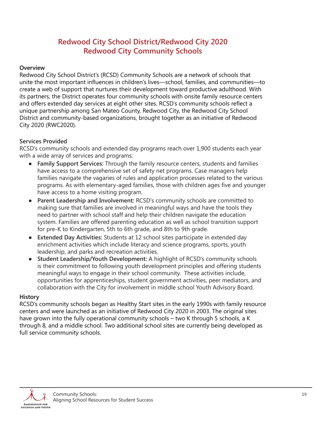### **Redwood City School District/Redwood City 2020 Redwood City Community Schools**

#### **Overview**

Redwood City School District's (RCSD) Community Schools are a network of schools that unite the most important influences in children's lives—school, families, and communities—to create a web of support that nurtures their development toward productive adulthood. With its partners, the District operates four community schools with onsite family resource centers and offers extended day services at eight other sites. RCSD's community schools reflect a unique partnership among San Mateo County, Redwood City, the Redwood City School District and community-based organizations, brought together as an initiative of Redwood City 2020 (RWC2020).

#### **Services Provided**

RCSD's community schools and extended day programs reach over 1,900 students each year with a wide array of services and programs:

- **Family Support Services:** Through the family resource centers, students and families have access to a comprehensive set of safety net programs. Case managers help families navigate the vagaries of rules and application processes related to the various programs. As with elementary-aged families, those with children ages five and younger have access to a home visiting program.
- **Parent Leadership and Involvement:** RCSD's community schools are committed to making sure that families are involved in meaningful ways and have the tools they need to partner with school staff and help their children navigate the education system. Families are offered parenting education as well as school transition support for pre-K to Kindergarten, 5th to 6th grade, and 8th to 9th grade. ●
- **Extended Day Activities:** Students at 12 school sites participate in extended day enrichment activities which include literacy and science programs, sports, youth leadership, and parks and recreation activities.
- **Student Leadership/Youth Development:** A highlight of RCSD's community schools is their commitment to following youth development principles and offering students meaningful ways to engage in their school community. These activities include, opportunities for apprenticeships, student government activities, peer mediators, and collaboration with the City for involvement in middle school Youth Advisory Board.

#### **History**

RCSD's community schools began as Healthy Start sites in the early 1990s with family resource centers and were launched as an initiative of Redwood City 2020 in 2003. The original sites have grown into the fully operational community schools – two K through 5 schools, a K through 8, and a middle school. Two additional school sites are currently being developed as full service community schools.

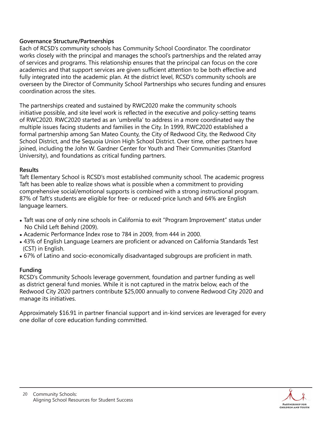#### **Governance Structure/Partnerships**

Each of RCSD's community schools has Community School Coordinator. The coordinator works closely with the principal and manages the school's partnerships and the related array of services and programs. This relationship ensures that the principal can focus on the core academics and that support services are given sufficient attention to be both effective and fully integrated into the academic plan. At the district level, RCSD's community schools are overseen by the Director of Community School Partnerships who secures funding and ensures coordination across the sites.

The partnerships created and sustained by RWC2020 make the community schools initiative possible, and site level work is reflected in the executive and policy-setting teams of RWC2020. RWC2020 started as an 'umbrella' to address in a more coordinated way the multiple issues facing students and families in the City. In 1999, RWC2020 established a formal partnership among San Mateo County, the City of Redwood City, the Redwood City School District, and the Sequoia Union High School District. Over time, other partners have joined, including the John W. Gardner Center for Youth and Their Communities (Stanford University), and foundations as critical funding partners.

#### **Results**

Taft Elementary School is RCSD's most established community school. The academic progress Taft has been able to realize shows what is possible when a commitment to providing comprehensive social/emotional supports is combined with a strong instructional program. 87% of Taft's students are eligible for free- or reduced-price lunch and 64% are English language learners.

- Taft was one of only nine schools in California to exit "Program Improvement" status under No Child Left Behind (2009).
- Academic Performance Index rose to 784 in 2009, from 444 in 2000.
- 43% of English Language Learners are proficient or advanced on California Standards Test (CST) in English.
- 67% of Latino and socio-economically disadvantaged subgroups are proficient in math.

#### **Funding**

RCSD's Community Schools leverage government, foundation and partner funding as well as district general fund monies. While it is not captured in the matrix below, each of the Redwood City 2020 partners contribute \$25,000 annually to convene Redwood City 2020 and manage its initiatives.

Approximately \$16.91 in partner financial support and in-kind services are leveraged for every one dollar of core education funding committed.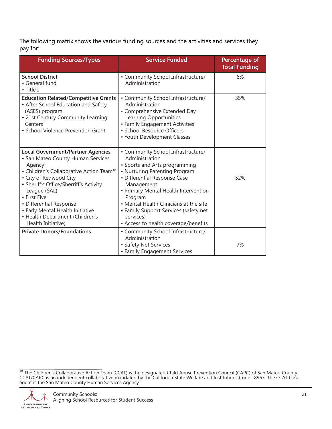The following matrix shows the various funding sources and the activities and services they pay for:

| <b>Funding Sources/Types</b>                                                                                                                                                                                                                                                                                                                                                | <b>Service Funded</b>                                                                                                                                                                                                                                                                                                                                           | Percentage of<br><b>Total Funding</b> |
|-----------------------------------------------------------------------------------------------------------------------------------------------------------------------------------------------------------------------------------------------------------------------------------------------------------------------------------------------------------------------------|-----------------------------------------------------------------------------------------------------------------------------------------------------------------------------------------------------------------------------------------------------------------------------------------------------------------------------------------------------------------|---------------------------------------|
| <b>School District</b><br>• General fund<br>$\bullet$ Title I                                                                                                                                                                                                                                                                                                               | • Community School Infrastructure/<br>Administration                                                                                                                                                                                                                                                                                                            | 6%                                    |
| <b>Education Related/Competitive Grants</b><br>• After School Education and Safety<br>(ASES) program<br>• 21st Century Community Learning<br>Centers<br>• School Violence Prevention Grant                                                                                                                                                                                  | • Community School Infrastructure/<br>Administration<br>• Comprehensive Extended Day<br>Learning Opportunities<br>• Family Engagement Activities<br>• School Resource Officers<br>• Youth Development Classes                                                                                                                                                   | 35%                                   |
| <b>Local Government/Partner Agencies</b><br>• San Mateo County Human Services<br>Agency<br>• Children's Collaborative Action Team <sup>10</sup><br>• City of Redwood City<br>• Sheriff's Office/Sherriff's Activity<br>League (SAL)<br>• First Five<br>• Differential Response<br>• Early Mental Health Initiative<br>• Health Department (Children's<br>Health Initiative) | • Community School Infrastructure/<br>Administration<br>• Sports and Arts programming<br>• Nurturing Parenting Program<br>• Differential Response Case<br>Management<br>• Primary Mental Health Intervention<br>Program<br>• Mental Health Clinicians at the site<br>• Family Support Services (safety net<br>services)<br>• Access to health coverage/benefits | 52%                                   |
| <b>Private Donors/Foundations</b>                                                                                                                                                                                                                                                                                                                                           | • Community School Infrastructure/<br>Administration<br>• Safety Net Services<br>• Family Engagement Services                                                                                                                                                                                                                                                   | 7%                                    |

 $^{10}$  The Children's Collaborative Action Team (CCAT) is the designated Child Abuse Prevention Council (CAPC) of San Mateo County. CCAT/CAPC is an independent collaborative mandated by the California State Welfare and Institutions Code 18967. The CCAT fiscal agent is the San Mateo County Human Services Agency.

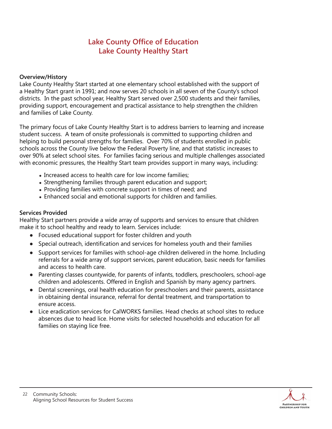### **Lake County Office of Education Lake County Healthy Start**

#### **Overview/History**

Lake County Healthy Start started at one elementary school established with the support of a Healthy Start grant in 1991; and now serves 20 schools in all seven of the County's school districts. In the past school year, Healthy Start served over 2,500 students and their families, providing support, encouragement and practical assistance to help strengthen the children and families of Lake County.

The primary focus of Lake County Healthy Start is to address barriers to learning and increase student success. A team of onsite professionals is committed to supporting children and helping to build personal strengths for families. Over 70% of students enrolled in public schools across the County live below the Federal Poverty line, and that statistic increases to over 90% at select school sites. For families facing serious and multiple challenges associated with economic pressures, the Healthy Start team provides support in many ways, including:

- Increased access to health care for low income families;
- Strengthening families through parent education and support;
- Providing families with concrete support in times of need; and
- Enhanced social and emotional supports for children and families.

#### **Services Provided**

Healthy Start partners provide a wide array of supports and services to ensure that children make it to school healthy and ready to learn. Services include:

- Focused educational support for foster children and youth
- Special outreach, identification and services for homeless youth and their families
- Support services for families with school-age children delivered in the home. Including referrals for a wide array of support services, parent education, basic needs for families and access to health care.
- Parenting classes countywide, for parents of infants, toddlers, preschoolers, school-age children and adolescents. Offered in English and Spanish by many agency partners.
- Dental screenings, oral health education for preschoolers and their parents, assistance in obtaining dental insurance, referral for dental treatment, and transportation to ensure access.
- Lice eradication services for CalWORKS families. Head checks at school sites to reduce absences due to head lice. Home visits for selected households and education for all families on staying lice free.

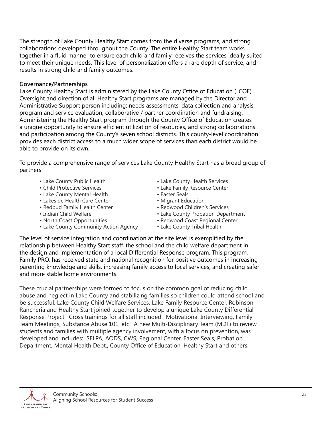The strength of Lake County Healthy Start comes from the diverse programs, and strong collaborations developed throughout the County. The entire Healthy Start team works together in a fluid manner to ensure each child and family receives the services ideally suited to meet their unique needs. This level of personalization offers a rare depth of service, and results in strong child and family outcomes.

#### **Governance/Partnerships**

Lake County Healthy Start is administered by the Lake County Office of Education (LCOE). Oversight and direction of all Healthy Start programs are managed by the Director and Administrative Support person including: needs assessments, data collection and analysis, program and service evaluation, collaborative / partner coordination and fundraising. Administering the Healthy Start program through the County Office of Education creates a unique opportunity to ensure efficient utilization of resources, and strong collaborations and participation among the County's seven school districts. This county-level coordination provides each district access to a much wider scope of services than each district would be able to provide on its own.

To provide a comprehensive range of services Lake County Healthy Start has a broad group of partners:

- Lake County Public Health
- Child Protective Services
- Lake County Mental Health
- Lakeside Health Care Center
- Redbud Family Health Center
- Indian Child Welfare
- North Coast Opportunities
- Lake County Community Action Agency
- Lake County Health Services
- Lake Family Resource Center
- Easter Seals
- Migrant Education
- Redwood Children's Services
- Lake County Probation Department
- Redwood Coast Regional Center
- Lake County Tribal Health

The level of service integration and coordination at the site level is exemplified by the relationship between Healthy Start staff, the school and the child welfare department in the design and implementation of a local Differential Response program. This program, Family PRO, has received state and national recognition for positive outcomes in increasing parenting knowledge and skills, increasing family access to local services, and creating safer and more stable home environments.

These crucial partnerships were formed to focus on the common goal of reducing child abuse and neglect in Lake County and stabilizing families so children could attend school and be successful. Lake County Child Welfare Services, Lake Family Resource Center, Robinson Rancheria and Healthy Start joined together to develop a unique Lake County Differential Response Project. Cross trainings for all staff included: Motivational Interviewing, Family Team Meetings, Substance Abuse 101, etc. A new Multi-Disciplinary Team (MDT) to review students and families with multiple agency involvement, with a focus on prevention, was developed and includes: SELPA, AODS, CWS, Regional Center, Easter Seals, Probation Department, Mental Health Dept., County Office of Education, Healthy Start and others.

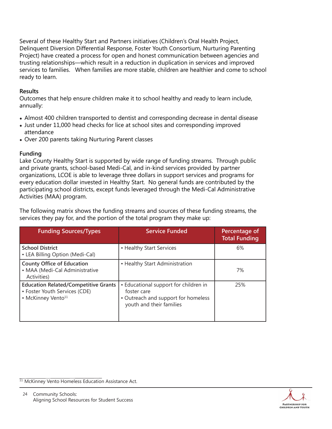Several of these Healthy Start and Partners initiatives (Children's Oral Health Project, Delinquent Diversion Differential Response, Foster Youth Consortium, Nurturing Parenting Project) have created a process for open and honest communication between agencies and trusting relationships—which result in a reduction in duplication in services and improved services to families. When families are more stable, children are healthier and come to school ready to learn.

#### **Results**

Outcomes that help ensure children make it to school healthy and ready to learn include, annually:

- Almost 400 children transported to dentist and corresponding decrease in dental disease
- Just under 11,000 head checks for lice at school sites and corresponding improved attendance
- Over 200 parents taking Nurturing Parent classes

#### **Funding**

Lake County Healthy Start is supported by wide range of funding streams. Through public and private grants, school-based Medi-Cal, and in-kind services provided by partner organizations, LCOE is able to leverage three dollars in support services and programs for every education dollar invested in Healthy Start. No general funds are contributed by the participating school districts, except funds leveraged through the Medi-Cal Administrative Activities (MAA) program.

The following matrix shows the funding streams and sources of these funding streams, the services they pay for, and the portion of the total program they make up:

| <b>Funding Sources/Types</b>                                                                                   | <b>Service Funded</b>                                                                                                   | Percentage of<br><b>Total Funding</b> |
|----------------------------------------------------------------------------------------------------------------|-------------------------------------------------------------------------------------------------------------------------|---------------------------------------|
| <b>School District</b><br>• LEA Billing Option (Medi-Cal)                                                      | • Healthy Start Services                                                                                                | 6%                                    |
| <b>County Office of Education</b><br>• MAA (Medi-Cal Administrative<br>Activities)                             | • Healthy Start Administration                                                                                          | 7%                                    |
| <b>Education Related/Competitive Grants</b><br>• Foster Youth Services (CDE)<br>• McKinney Vento <sup>11</sup> | • Educational support for children in<br>foster care<br>• Outreach and support for homeless<br>youth and their families | 25%                                   |

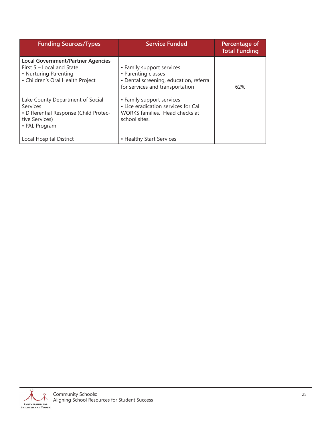| <b>Funding Sources/Types</b>                                                                                                         | <b>Service Funded</b>                                                                                                          | Percentage of<br><b>Total Funding</b> |
|--------------------------------------------------------------------------------------------------------------------------------------|--------------------------------------------------------------------------------------------------------------------------------|---------------------------------------|
| <b>Local Government/Partner Agencies</b><br>First $5 -$ Local and State<br>• Nurturing Parenting<br>• Children's Oral Health Project | • Family support services<br>• Parenting classes<br>· Dental screening, education, referral<br>for services and transportation | 62%                                   |
| Lake County Department of Social<br>Services<br>· Differential Response (Child Protec-<br>tive Services)<br>• PAL Program            | • Family support services<br>• Lice eradication services for Cal<br>WORKS families. Head checks at<br>school sites.            |                                       |
| <b>Local Hospital District</b>                                                                                                       | • Healthy Start Services                                                                                                       |                                       |

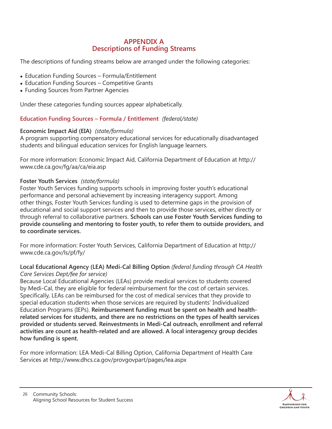#### **APPENDIX A Descriptions of Funding Streams**

The descriptions of funding streams below are arranged under the following categories:

- Education Funding Sources Formula/Entitlement
- Education Funding Sources Competitive Grants
- Funding Sources from Partner Agencies

Under these categories funding sources appear alphabetically.

**Education Funding Sources – Formula / Entitlement** *(federal/state)*

#### **Economic Impact Aid (EIA)** *(state/formula)*

A program supporting compensatory educational services for educationally disadvantaged students and bilingual education services for English language learners.

For more information: Economic Impact Aid, California Department of Education at http:// www.cde.ca.gov/fg/aa/ca/eia.asp

#### **Foster Youth Services** *(state/formula)*

Foster Youth Services funding supports schools in improving foster youth's educational performance and personal achievement by increasing interagency support. Among other things, Foster Youth Services funding is used to determine gaps in the provision of educational and social support services and then to provide those services, either directly or through referral to collaborative partners. **Schools can use Foster Youth Services funding to provide counseling and mentoring to foster youth, to refer them to outside providers, and to coordinate services.**

For more information: Foster Youth Services, California Department of Education at http:// www.cde.ca.gov/ls/pf/fy/

#### **Local Educational Agency (LEA) Medi-Cal Billing Option** *(federal funding through CA Health Care Services Dept/fee for service)*

Because Local Educational Agencies (LEAs) provide medical services to students covered by Medi-Cal, they are eligible for federal reimbursement for the cost of certain services. Specifically, LEAs can be reimbursed for the cost of medical services that they provide to special education students when those services are required by students' Individualized Education Programs (IEPs). **Reimbursement funding must be spent on health and healthrelated services for students, and there are no restrictions on the types of health services provided or students served. Reinvestments in Medi-Cal outreach, enrollment and referral activities are count as health-related and are allowed. A local interagency group decides how funding is spent.** 

For more information: LEA Medi-Cal Billing Option, California Department of Health Care Services at http://www.dhcs.ca.gov/provgovpart/pages/lea.aspx

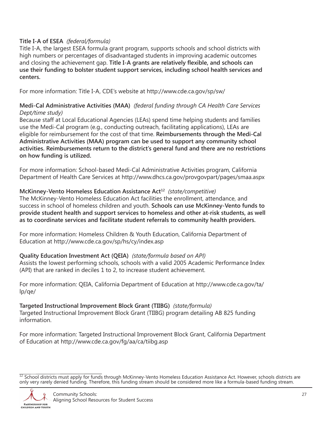#### **Title I-A of ESEA** *(federal/formula)*

Title I-A, the largest ESEA formula grant program, supports schools and school districts with high numbers or percentages of disadvantaged students in improving academic outcomes and closing the achievement gap. **Title I-A grants are relatively flexible, and schools can use their funding to bolster student support services, including school health services and centers.**

For more information: Title I-A, CDE's website at http://www.cde.ca.gov/sp/sw/

#### **Medi-Cal Administrative Activities (MAA)** *(federal funding through CA Health Care Services Dept/time study)*

Because staff at Local Educational Agencies (LEAs) spend time helping students and families use the Medi-Cal program (e.g., conducting outreach, facilitating applications), LEAs are eligible for reimbursement for the cost of that time. **Reimbursements through the Medi-Cal Administrative Activities (MAA) program can be used to support any community school activities. Reimbursements return to the district's general fund and there are no restrictions on how funding is utilized.**

For more information: School-based Medi-Cal Administrative Activities program, California Department of Health Care Services at http://www.dhcs.ca.gov/provgovpart/pages/smaa.aspx

#### **McKinney-Vento Homeless Education Assistance Act12** *(state/competitive)*

The McKinney-Vento Homeless Education Act facilities the enrollment, attendance, and success in school of homeless children and youth. **Schools can use McKinney-Vento funds to provide student health and support services to homeless and other at-risk students, as well as to coordinate services and facilitate student referrals to community health providers.**

For more information: Homeless Children & Youth Education, California Department of Education at http://www.cde.ca.gov/sp/hs/cy/index.asp

### **Quality Education Investment Act (QEIA)** *(state/formula based on API)*

Assists the lowest performing schools, schools with a valid 2005 Academic Performance Index (API) that are ranked in deciles 1 to 2, to increase student achievement.

For more information: QEIA, California Department of Education at http://www.cde.ca.gov/ta/ lp/qe/

**Targeted Instructional Improvement Block Grant (TIIBG)** *(state/formula)* Targeted Instructional Improvement Block Grant (TIIBG) program detailing AB 825 funding information.

For more information: Targeted Instructional Improvement Block Grant, California Department of Education at http://www.cde.ca.gov/fg/aa/ca/tiibg.asp

 $\frac{12}{12}$  School districts must apply for funds through McKinney-Vento Homeless Education Assistance Act. However, schools districts are only very rarely denied funding. Therefore, this funding stream should be considered more like a formula-based funding stream.

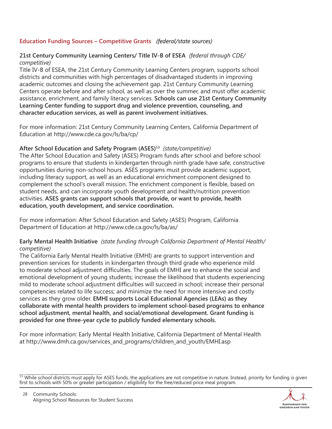#### **Education Funding Sources – Competitive Grants** *(federal/state sources)*

#### **21st Century Community Learning Centers/ Title IV-B of ESEA** *(federal through CDE/ competitive)*

Title IV-B of ESEA, the 21st Century Community Learning Centers program, supports school districts and communities with high percentages of disadvantaged students in improving academic outcomes and closing the achievement gap. 21st Century Community Learning Centers operate before and after school, as well as over the summer, and must offer academic assistance, enrichment, and family literacy services. **Schools can use 21st Century Community Learning Center funding to support drug and violence prevention, counseling, and character education services, as well as parent involvement initiatives.**

For more information: 21st Century Community Learning Centers, California Department of Education at http://www.cde.ca.gov/ls/ba/cp/

#### **After School Education and Safety Program (ASES)13** *(state/competitive)*

The After School Education and Safety (ASES) Program funds after school and before school programs to ensure that students in kindergarten through ninth grade have safe, constructive opportunities during non-school hours. ASES programs must provide academic support, including literacy support, as well as an educational enrichment component designed to complement the school's overall mission. The enrichment component is flexible, based on student needs, and can incorporate youth development and health/nutrition prevention activities. **ASES grants can support schools that provide, or want to provide, health education, youth development, and service coordination.**

For more information: After School Education and Safety (ASES) Program, California Department of Education at http://www.cde.ca.gov/ls/ba/as/

#### **Early Mental Health Initiative** *(state funding through California Department of Mental Health/ competitive)*

The California Early Mental Health Initiative (EMHI) are grants to support intervention and prevention services for students in kindergarten through third grade who experience mild to moderate school adjustment difficulties. The goals of EMHI are to enhance the social and emotional development of young students; increase the likelihood that students experiencing mild to moderate school adjustment difficulties will succeed in school; increase their personal competencies related to life success; and minimize the need for more intensive and costly services as they grow older. **EMHI supports Local Educational Agencies (LEAs) as they collaborate with mental health providers to implement school-based programs to enhance school adjustment, mental health, and social/emotional development. Grant funding is provided for one three-year cycle to publicly funded elementary schools.**

For more information: Early Mental Health Initiative, California Department of Mental Health at http://www.dmh.ca.gov/services\_and\_programs/children\_and\_youth/EMHI.asp

 $^{13}$  While school districts must apply for ASES funds, the applications are not competitive in nature. Instead, priority for funding is given first to schools with 50% or greater participation / eligibility for the free/reduced price meal program.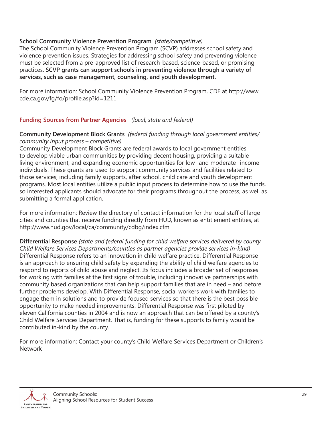#### **School Community Violence Prevention Program** *(state/competitive)*

The School Community Violence Prevention Program (SCVP) addresses school safety and violence prevention issues. Strategies for addressing school safety and preventing violence must be selected from a pre-approved list of research-based, science-based, or promising practices. **SCVP grants can support schools in preventing violence through a variety of services, such as case management, counseling, and youth development.**

For more information: School Community Violence Prevention Program, CDE at http://www. cde.ca.gov/fg/fo/profile.asp?id=1211

#### **Funding Sources from Partner Agencies** *(local, state and federal)*

#### **Community Development Block Grants** *(federal funding through local government entities/ community input process – competitive)*

Community Development Block Grants are federal awards to local government entities to develop viable urban communities by providing decent housing, providing a suitable living environment, and expanding economic opportunities for low- and moderate- income individuals. These grants are used to support community services and facilities related to those services, including family supports, after school, child care and youth development programs. Most local entities utilize a public input process to determine how to use the funds, so interested applicants should advocate for their programs throughout the process, as well as submitting a formal application.

For more information: Review the directory of contact information for the local staff of large cities and counties that receive funding directly from HUD, known as entitlement entities, at http://www.hud.gov/local/ca/community/cdbg/index.cfm

**Differential Response** *(state and federal funding for child welfare services delivered by county Child Welfare Services Departments/counties as partner agencies provide services in-kind)*  Differential Response refers to an innovation in child welfare practice. Differential Response is an approach to ensuring child safety by expanding the ability of child welfare agencies to respond to reports of child abuse and neglect. Its focus includes a broader set of responses for working with families at the first signs of trouble, including innovative partnerships with community based organizations that can help support families that are in need – and before further problems develop. With Differential Response, social workers work with families to engage them in solutions and to provide focused services so that there is the best possible opportunity to make needed improvements. Differential Response was first piloted by eleven California counties in 2004 and is now an approach that can be offered by a county's Child Welfare Services Department. That is, funding for these supports to family would be contributed in-kind by the county.

For more information: Contact your county's Child Welfare Services Department or Children's **Network** 

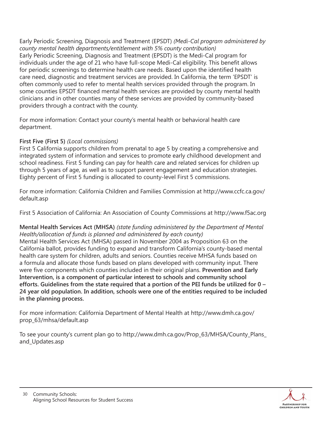Early Periodic Screening, Diagnosis and Treatment (EPSDT) *(Medi-Cal program administered by county mental health departments/entitlement with 5% county contribution)* Early Periodic Screening, Diagnosis and Treatment (EPSDT) is the Medi-Cal program for individuals under the age of 21 who have full-scope Medi-Cal eligibility. This benefit allows for periodic screenings to determine health care needs. Based upon the identified health care need, diagnostic and treatment services are provided. In California, the term 'EPSDT' is often commonly used to refer to mental health services provided through the program. In some counties EPSDT financed mental health services are provided by county mental health clinicians and in other counties many of these services are provided by community-based providers through a contract with the county.

For more information: Contact your county's mental health or behavioral health care department.

#### **First Five (First 5)** *(Local commissions)*

First 5 California supports children from prenatal to age 5 by creating a comprehensive and integrated system of information and services to promote early childhood development and school readiness. First 5 funding can pay for health care and related services for children up through 5 years of age, as well as to support parent engagement and education strategies. Eighty percent of First 5 funding is allocated to county-level First 5 commissions.

For more information: California Children and Families Commission at http://www.ccfc.ca.gov/ default.asp

First 5 Association of California: An Association of County Commissions at http://www.f5ac.org

#### **Mental Health Services Act (MHSA)** *(state funding administered by the Department of Mental Health/allocation of funds is planned and administered by each county)*

Mental Health Services Act (MHSA) passed in November 2004 as Proposition 63 on the California ballot, provides funding to expand and transform California's county-based mental health care system for children, adults and seniors. Counties receive MHSA funds based on a formula and allocate those funds based on plans developed with community input. There were five components which counties included in their original plans. **Prevention and Early Intervention, is a component of particular interest to schools and community school efforts. Guidelines from the state required that a portion of the PEI funds be utilized for 0 – 24 year old population. In addition, schools were one of the entities required to be included in the planning process.**

For more information: California Department of Mental Health at http://www.dmh.ca.gov/ prop\_63/mhsa/default.asp

To see your county's current plan go to http://www.dmh.ca.gov/Prop\_63/MHSA/County\_Plans\_ and\_Updates.asp